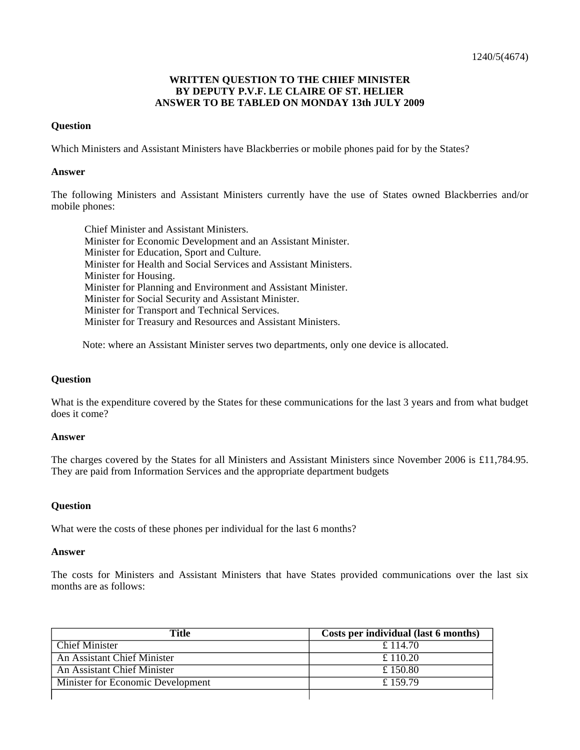## **WRITTEN QUESTION TO THE CHIEF MINISTER BY DEPUTY P.V.F. LE CLAIRE OF ST. HELIER ANSWER TO BE TABLED ON MONDAY 13th JULY 2009**

## **Question**

Which Ministers and Assistant Ministers have Blackberries or mobile phones paid for by the States?

#### **Answer**

The following Ministers and Assistant Ministers currently have the use of States owned Blackberries and/or mobile phones:

Chief Minister and Assistant Ministers. Minister for Economic Development and an Assistant Minister. Minister for Education, Sport and Culture. Minister for Health and Social Services and Assistant Ministers. Minister for Housing. Minister for Planning and Environment and Assistant Minister. Minister for Social Security and Assistant Minister. Minister for Transport and Technical Services. Minister for Treasury and Resources and Assistant Ministers.

Note: where an Assistant Minister serves two departments, only one device is allocated.

### **Question**

What is the expenditure covered by the States for these communications for the last 3 years and from what budget does it come?

#### **Answer**

The charges covered by the States for all Ministers and Assistant Ministers since November 2006 is £11,784.95. They are paid from Information Services and the appropriate department budgets

## **Question**

What were the costs of these phones per individual for the last 6 months?

#### **Answer**

The costs for Ministers and Assistant Ministers that have States provided communications over the last six months are as follows:

| Title                             | Costs per individual (last 6 months) |
|-----------------------------------|--------------------------------------|
| Chief Minister                    | £ 114.70                             |
| An Assistant Chief Minister       | £ 110.20                             |
| An Assistant Chief Minister       | £150.80                              |
| Minister for Economic Development | £159.79                              |
|                                   |                                      |